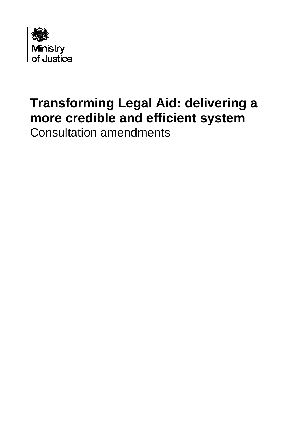

## **Transforming Legal Aid: delivering a more credible and efficient system**  Consultation amendments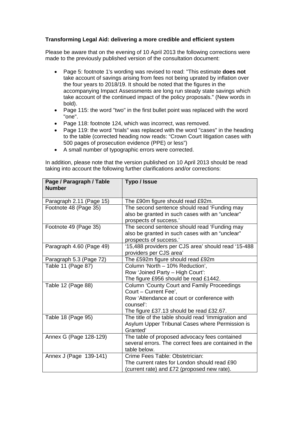## **Transforming Legal Aid: delivering a more credible and efficient system**

Please be aware that on the evening of 10 April 2013 the following corrections were made to the previously published version of the consultation document:

- Page 5: footnote 1's wording was revised to read: "This estimate **does not** take account of savings arising from fees not being uprated by inflation over the four years to 2018/19. It should be noted that the figures in the accompanying Impact Assessments are long run steady state savings which take account of the continued impact of the policy proposals." (New words in bold).
- Page 115: the word "two" in the first bullet point was replaced with the word "one".
- Page 118: footnote 124, which was incorrect, was removed.
- Page 119: the word "trials" was replaced with the word "cases" in the heading to the table (corrected heading now reads: "Crown Court litigation cases with 500 pages of prosecution evidence (PPE) or less")
- A small number of typographic errors were corrected.

In addition, please note that the version published on 10 April 2013 should be read taking into account the following further clarifications and/or corrections:

| Page / Paragraph / Table<br><b>Number</b> | Typo / Issue                                          |
|-------------------------------------------|-------------------------------------------------------|
|                                           |                                                       |
| Paragraph 2.11 (Page 15)                  | The £90m figure should read £92m.                     |
| Footnote 48 (Page 35)                     | The second sentence should read 'Funding may          |
|                                           | also be granted in such cases with an "unclear"       |
|                                           | prospects of success.'                                |
| Footnote 49 (Page 35)                     | The second sentence should read 'Funding may          |
|                                           | also be granted in such cases with an "unclear"       |
|                                           | prospects of success.'                                |
| Paragraph 4.60 (Page 49)                  | '15,488 providers per CJS area' should read '15-488   |
|                                           | providers per CJS area'                               |
| Paragraph 5.3 (Page 72)                   | The £592m figure should read £92m                     |
| Table 11 (Page 87)                        | Column 'North - 10% Reduction',                       |
|                                           | Row 'Joined Party - High Court':                      |
|                                           | The figure £956 should be read £1442.                 |
| Table 12 (Page 88)                        | <b>Column 'County Court and Family Proceedings</b>    |
|                                           | Court - Current Fee',                                 |
|                                           | Row 'Attendance at court or conference with           |
|                                           | counsel':                                             |
|                                           | The figure £37.13 should be read £32.67.              |
| Table 18 (Page 95)                        | The title of the table should read 'Immigration and   |
|                                           | Asylum Upper Tribunal Cases where Permission is       |
|                                           | Granted'                                              |
| Annex G (Page 128-129)                    | The table of proposed advocacy fees contained         |
|                                           | several errors. The correct fees are contained in the |
|                                           | table below.                                          |
| Annex J (Page 139-141)                    | Crime Fees Table: Obstetrician:                       |
|                                           | The current rates for London should read £90          |
|                                           | current rate) and £72 (proposed new rate).            |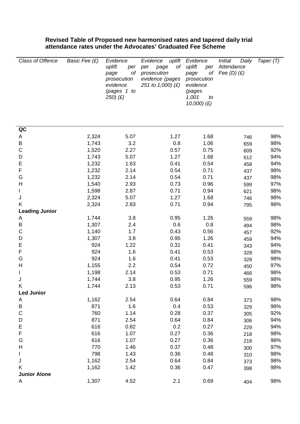## **Revised Table of Proposed new harmonised rates and tapered daily trial attendance rates under the Advocates' Graduated Fee Scheme**

| Class of Offence      | Basic Fee (£) | Evidence<br>uplift<br>per<br>of<br>page<br>prosecution<br>evidence<br>(pages 1 to<br>$250)$ $(E)$ | Evidence<br>uplift<br>оf<br>per<br>page<br>prosecution<br>evidence (pages<br>251 to 1,000) (£) | Evidence<br>uplift<br>per<br>оf<br>page<br>prosecution<br>evidence<br>(pages<br>1,001<br>to<br>$10,000)$ $(E)$ | <i>Initial</i><br>Daily<br>Attendance<br>Fee $(D)$ $(E)$ | Taper $(T)$ |
|-----------------------|---------------|---------------------------------------------------------------------------------------------------|------------------------------------------------------------------------------------------------|----------------------------------------------------------------------------------------------------------------|----------------------------------------------------------|-------------|
| QC                    |               |                                                                                                   |                                                                                                |                                                                                                                |                                                          |             |
| Α                     | 2,324         | 5.07                                                                                              | 1.27                                                                                           | 1.68                                                                                                           | 746                                                      | 98%         |
| Β                     | 1,743         | 3.2                                                                                               | 0.8                                                                                            | 1.06                                                                                                           | 659                                                      | 98%         |
| C                     | 1,520         | 2.27                                                                                              | 0.57                                                                                           | 0.75                                                                                                           | 609                                                      | 92%         |
| D                     | 1,743         | 5.07                                                                                              | 1.27                                                                                           | 1.68                                                                                                           | 612                                                      | 94%         |
| E                     | 1,232         | 1.63                                                                                              | 0.41                                                                                           | 0.54                                                                                                           | 458                                                      | 94%         |
| F                     | 1,232         | 2.14                                                                                              | 0.54                                                                                           | 0.71                                                                                                           | 437                                                      | 98%         |
| G                     | 1,232         | 2.14                                                                                              | 0.54                                                                                           | 0.71                                                                                                           | 437                                                      | 98%         |
| Η                     | 1,540         | 2.93                                                                                              | 0.73                                                                                           | 0.96                                                                                                           | 599                                                      | 97%         |
|                       | 1,598         | 2.87                                                                                              | 0.71                                                                                           | 0.94                                                                                                           | 621                                                      | 98%         |
| J                     | 2,324         | 5.07                                                                                              | 1.27                                                                                           | 1.68                                                                                                           | 746                                                      | 98%         |
| Κ                     | 2,324         | 2.83                                                                                              | 0.71                                                                                           | 0.94                                                                                                           | 795                                                      | 98%         |
| <b>Leading Junior</b> |               |                                                                                                   |                                                                                                |                                                                                                                |                                                          |             |
| A                     | 1,744         | 3.8                                                                                               | 0.95                                                                                           | 1.26                                                                                                           | 559                                                      | 98%         |
| B                     | 1,307         | 2.4                                                                                               | 0.6                                                                                            | 0.8                                                                                                            | 494                                                      | 98%         |
| C                     | 1,140         | 1.7                                                                                               | 0.43                                                                                           | 0.56                                                                                                           | 457                                                      | 92%         |
| D                     | 1,307         | 3.8                                                                                               | 0.95                                                                                           | 1.26                                                                                                           | 459                                                      | 94%         |
| E<br>F                | 924           | 1.22                                                                                              | 0.31                                                                                           | 0.41                                                                                                           | 343                                                      | 94%         |
| G                     | 924<br>924    | 1.6<br>1.6                                                                                        | 0.41<br>0.41                                                                                   | 0.53                                                                                                           | 328                                                      | 98%         |
| Н                     | 1,155         | 2.2                                                                                               | 0.54                                                                                           | 0.53<br>0.72                                                                                                   | 328                                                      | 98%<br>97%  |
|                       | 1,198         | 2.14                                                                                              | 0.53                                                                                           | 0.71                                                                                                           | 450                                                      | 98%         |
|                       | 1,744         | 3.8                                                                                               | 0.95                                                                                           | 1.26                                                                                                           | 466<br>559                                               | 98%         |
| Κ                     | 1,744         | 2.13                                                                                              | 0.53                                                                                           | 0.71                                                                                                           | 596                                                      | 98%         |
| <b>Led Junior</b>     |               |                                                                                                   |                                                                                                |                                                                                                                |                                                          |             |
| A                     | 1,162         | 2.54                                                                                              | 0.64                                                                                           | 0.84                                                                                                           | 373                                                      | 98%         |
| B                     | 871           | 1.6                                                                                               | 0.4                                                                                            | 0.53                                                                                                           | 329                                                      | 98%         |
| C                     | 760           | 1.14                                                                                              | 0.28                                                                                           | 0.37                                                                                                           | 305                                                      | 92%         |
| D                     | 871           | 2.54                                                                                              | 0.64                                                                                           | 0.84                                                                                                           | 306                                                      | 94%         |
| Ε                     | 616           | 0.82                                                                                              | 0.2                                                                                            | 0.27                                                                                                           | 229                                                      | 94%         |
| F                     | 616           | 1.07                                                                                              | 0.27                                                                                           | 0.36                                                                                                           | 218                                                      | 98%         |
| G                     | 616           | 1.07                                                                                              | 0.27                                                                                           | 0.36                                                                                                           | 218                                                      | 98%         |
| Н                     | 770           | 1.46                                                                                              | 0.37                                                                                           | 0.48                                                                                                           | 300                                                      | 97%         |
| L                     | 798           | 1.43                                                                                              | 0.36                                                                                           | 0.48                                                                                                           | 310                                                      | 98%         |
| J                     | 1,162         | 2.54                                                                                              | 0.64                                                                                           | 0.84                                                                                                           | 373                                                      | 98%         |
| Κ                     | 1,162         | 1.42                                                                                              | 0.36                                                                                           | 0.47                                                                                                           | 398                                                      | 98%         |
| <b>Junior Alone</b>   |               |                                                                                                   |                                                                                                |                                                                                                                |                                                          |             |
| A                     | 1,307         | 4.52                                                                                              | 2.1                                                                                            | 0.69                                                                                                           | 404                                                      | 98%         |